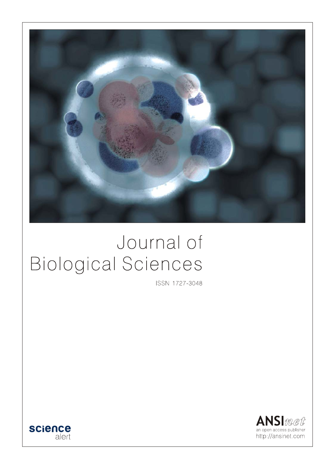

# Journal of **Biological Sciences**

ISSN 1727-3048



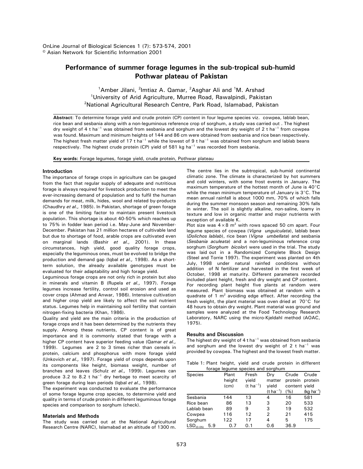OnLine Journal of Biological Sciences 1 (7): 573-574, 2001 © Asian Network for Scientific Information 2001

# **Performance of summer forage legumes in the sub-tropical sub-humid Pothwar plateau of Pakistan**

<sup>1</sup> Amber Jilani, <sup>2</sup>Imtiaz A. Qamar, <sup>2</sup> Asghar Ali and <sup>1</sup> M. Arshad <sup>1</sup>University of Arid Agriculture, Murree Road, Rawalpindi, Pakistan 2 National Agricultural Research Centre, Park Road, Islamabad, Pakistan

**Abstract**: To determine forage yield and crude protein (CP) content in four legume species viz. cowpea, lablab bean, rice bean and sesbania along with a non-leguminous reference crop of sorghum, a study was carried out . The highest dry weight of 4 t ha<sup>-1</sup> was obtained from sesbania and sorghum and the lowest dry weight of 2 t ha<sup>-1</sup> from cowpea was found. Maximum and minimum heights of 144 and 86 cm were obtained from sesbania and rice bean respectively. The highest fresh matter yield of 17 t ha<sup>-1</sup> while the lowest of 9 t ha<sup>-1</sup> was obtained from sorghum and lablab beans respectively. The highest crude protein (CP) yield of 581 kg ha<sup>-1</sup> was recorded from sesbania.

**Key words:** Forage legumes, forage yield, crude protein, Pothwar plateau

# **Introduction**

The importance of forage crops in agriculture can be gauged from the fact that regular supply of adequate and nutritious forage is always required for livestock production to meet the ever-increasing demand of population and to fulfil the human demands for meat, milk, hides, wool and related by-products (Chaudhry *et al.,* 1985). In Pakistan, shortage of green forage is one of the limiting factor to maintain present livestock population. This shortage is about 40-50% which reaches up to 75% in fodder lean period i.e. May-June and November-December. Pakistan has 21 million hectares of cultivable land but due to shortage of food, arable crops are cultivated even on marginal lands (Bashir *et al.,* 2001). In these circumstances, high yield, good quality forage crops, especially the leguminous ones, must be evolved to bridge the production and demand gap (Iqbal *et al.,* 1998). As a shortterm solution, the already available genotypes must be evaluated for their adaptability and high forage yield.

Leguminous forage crops are not only rich in protein but also in minerals and vitamin B (Rupela *et al.,* 1997). Forage legumes increase fertility, control soil erosion and used as cover crops (Ahmad and Anwar, 1986). Intensive cultivation and higher crop yield are likely to affect the soil nutrient status. Legumes help in maintaining soil fertility that contain nitrogen-fixing bacteria (Khan, 1986).

Quality and yield are the main criteria in the production of forage crops and it has been determined by the nutrients they supply. Among these nutrients, CP content is of great importance and it is commonly stated that forage with a higher CP content have superior feeding value (Qamar *et al.,* 1999). Legumes are 2 to 3 times richer than cereals in protein, calcium and phosphorus with more forage yield (Unkovich *et al.,* 1997). Forage yield of crops depends upon its components like height, biomass weight, number of branches and leaves (Schulz *et al.,* 1999). Legumes can produce 3.2 to 8.2 t ha<sup> $-1$ </sup> dry herbage to meet scarcity of green forage during lean periods (Iqbal *et al.,* 1998).

The experiment was conducted to evaluate the performance of some forage legume crop species, to determine yield and quality in terms of crude protein in different leguminous forage species and comparison to sorghum (check).

# **Materials and Methods**

The study was carried out at the National Agricultural Research Centre (NARC), Islamabad at an altitude of 1300 m. The centre lies in the subtropical, sub-humid continental climatic zone. The climate is characterized by hot summers and cold winters, with some frost events in January. The maximum temperature of the hottest month of June is  $40^{\circ}$ C while the mean minimum temperature of January is  $3^{\circ}$ C. The mean annual rainfall is about 1000 mm, 70% of which falls during the summer monsoon season and remaining 30% falls in winter. The soil is slightly alkaline, non-saline, loamy in texture and low in organic matter and major nutrients with exception of available K.

Plot size was  $4 \times 8$  m<sup>2</sup> with rows spaced 50 cm apart. Four legume species of cowpea (*Vigna unguiculata*), lablab bean (*Dolichos lablab*), rice bean (*Vigna umbellata*) and sesbania (*Sesbania aculeata*) and a non-leguminous reference crop sorghum (*Sorghum bicolor*) were used in the trial. The study was laid out in a Randomized Complete Block Design (Steel and Torrie 1997). The experiment was planted on 4th July, 1998 under natural rainfed conditions without addition of N fertilizer and harvested in the first week of October, 1998 at maturity. Different parameters recorded included plant height, fresh and dry weight and CP content. For recording plant height five plants at random were measured. Plant biomass was obtained at random with a quadrate of 1 m<sup>2</sup> avoiding edge effect. After recording the fresh weight, the plant material was oven dried at  $70^{\circ}$ C for 48 hours to obtain dry weight. Plant material was ground and samples were analyzed at the Food Technology Research Laboratory, NARC using the micro-Kjeldahl method (AOAC, 1975).

## **Results and Discussion**

The highest dry weight of 4 t ha $^{-1}$  was obtained from sesbania and sorghum and the lowest dry weight of 2 t ha $^{-1}$  was provided by cowpea. The highest and the lowest fresh matter.

Table 1: Plant height, yield and crude protein in different forage legume species and sorghum

| rorago rogamo opocios ana sorgnami |                   |                       |                  |                 |                |
|------------------------------------|-------------------|-----------------------|------------------|-----------------|----------------|
| <b>Species</b>                     | Plant             | Fresh                 | Drv              | Crude           | Crude          |
|                                    | height            | vield                 | matter           | protein protein |                |
|                                    | (c <sub>m</sub> ) | (t ha <sup>-1</sup> ) | vield            | content yield   |                |
|                                    |                   |                       | $(t \, ha^{-1})$ | (%)             | $(kq ha^{-1})$ |
| Sesbania                           | 144               | 13                    | 4                | 16              | 581            |
| Rice bean                          | 86                | 13                    | 3                | 20              | 533            |
| Lablab bean                        | 89                | 9                     | 3                | 19              | 532            |
| Cowpea                             | 116               | 12                    | 2                | 21              | 415            |
| Sorghum                            | 122               | 17                    | 4                | 5               | 175            |
| LSD <sub>(0.05)</sub><br>5.9       | 0.7               | 0.1                   | 0.6              | 36.9            |                |